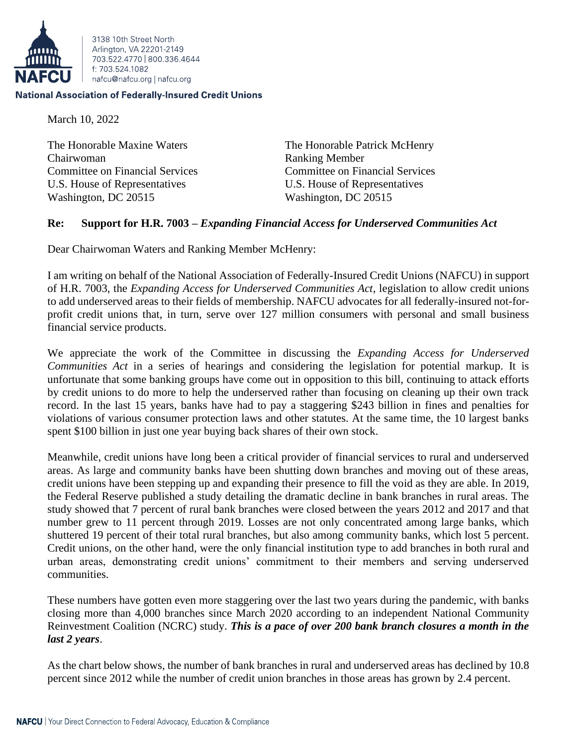

3138 10th Street North Arlington, VA 22201-2149 703 522 4770 800 336 4644 f: 703.524.1082 nafcu@nafcu.org | nafcu.org

## **National Association of Federally-Insured Credit Unions**

March 10, 2022

The Honorable Maxine Waters The Honorable Patrick McHenry Chairwoman Ranking Member Committee on Financial Services Committee on Financial Services U.S. House of Representatives U.S. House of Representatives Washington, DC 20515 Washington, DC 20515

## **Re: Support for H.R. 7003 –** *Expanding Financial Access for Underserved Communities Act*

Dear Chairwoman Waters and Ranking Member McHenry:

I am writing on behalf of the National Association of Federally-Insured Credit Unions (NAFCU) in support of H.R. 7003, the *Expanding Access for Underserved Communities Act*, legislation to allow credit unions to add underserved areas to their fields of membership. NAFCU advocates for all federally-insured not-forprofit credit unions that, in turn, serve over 127 million consumers with personal and small business financial service products.

We appreciate the work of the Committee in discussing the *Expanding Access for Underserved Communities Act* in a series of hearings and considering the legislation for potential markup. It is unfortunate that some banking groups have come out in opposition to this bill, continuing to attack efforts by credit unions to do more to help the underserved rather than focusing on cleaning up their own track record. In the last 15 years, banks have had to pay a staggering \$243 billion in fines and penalties for violations of various consumer protection laws and other statutes. At the same time, the 10 largest banks spent \$100 billion in just one year buying back shares of their own stock.

Meanwhile, credit unions have long been a critical provider of financial services to rural and underserved areas. As large and community banks have been shutting down branches and moving out of these areas, credit unions have been stepping up and expanding their presence to fill the void as they are able. In 2019, the Federal Reserve published a study detailing the dramatic decline in bank branches in rural areas. The study showed that 7 percent of rural bank branches were closed between the years 2012 and 2017 and that number grew to 11 percent through 2019. Losses are not only concentrated among large banks, which shuttered 19 percent of their total rural branches, but also among community banks, which lost 5 percent. Credit unions, on the other hand, were the only financial institution type to add branches in both rural and urban areas, demonstrating credit unions' commitment to their members and serving underserved communities.

These numbers have gotten even more staggering over the last two years during the pandemic, with banks closing more than 4,000 branches since March 2020 according to an independent National Community Reinvestment Coalition (NCRC) study. *This is a pace of over 200 bank branch closures a month in the last 2 years*.

As the chart below shows, the number of bank branches in rural and underserved areas has declined by 10.8 percent since 2012 while the number of credit union branches in those areas has grown by 2.4 percent.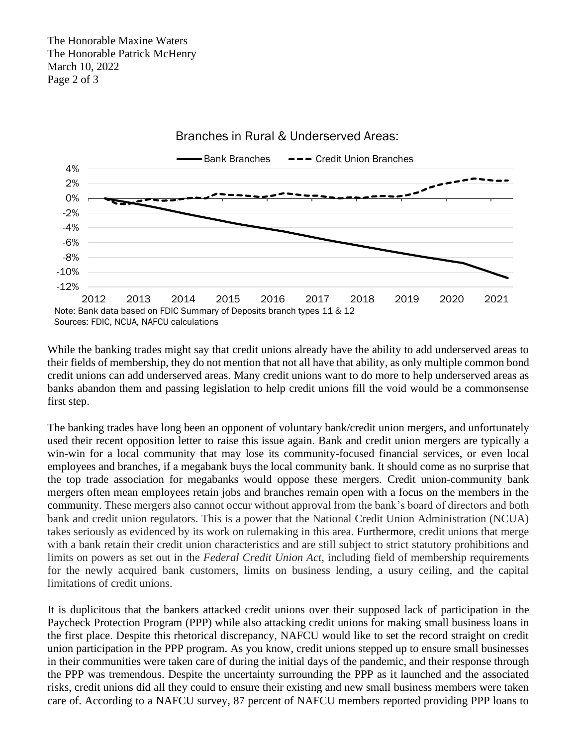

While the banking trades might say that credit unions already have the ability to add underserved areas to their fields of membership, they do not mention that not all have that ability, as only multiple common bond credit unions can add underserved areas. Many credit unions want to do more to help underserved areas as banks abandon them and passing legislation to help credit unions fill the void would be a commonsense first step.

The banking trades have long been an opponent of voluntary bank/credit union mergers, and unfortunately used their recent opposition letter to raise this issue again. Bank and credit union mergers are typically a win-win for a local community that may lose its community-focused financial services, or even local employees and branches, if a megabank buys the local community bank. It should come as no surprise that the top trade association for megabanks would oppose these mergers. Credit union-community bank mergers often mean employees retain jobs and branches remain open with a focus on the members in the community. These mergers also cannot occur without approval from the bank's board of directors and both bank and credit union regulators. This is a power that the National Credit Union Administration (NCUA) takes seriously as evidenced by its work on rulemaking in this area. Furthermore, credit unions that merge with a bank retain their credit union characteristics and are still subject to strict statutory prohibitions and limits on powers as set out in the *Federal Credit Union Act*, including field of membership requirements for the newly acquired bank customers, limits on business lending, a usury ceiling, and the capital limitations of credit unions.

It is duplicitous that the bankers attacked credit unions over their supposed lack of participation in the Paycheck Protection Program (PPP) while also attacking credit unions for making small business loans in the first place. Despite this rhetorical discrepancy, NAFCU would like to set the record straight on credit union participation in the PPP program. As you know, credit unions stepped up to ensure small businesses in their communities were taken care of during the initial days of the pandemic, and their response through the PPP was tremendous. Despite the uncertainty surrounding the PPP as it launched and the associated risks, credit unions did all they could to ensure their existing and new small business members were taken care of. According to a NAFCU survey, 87 percent of NAFCU members reported providing PPP loans to